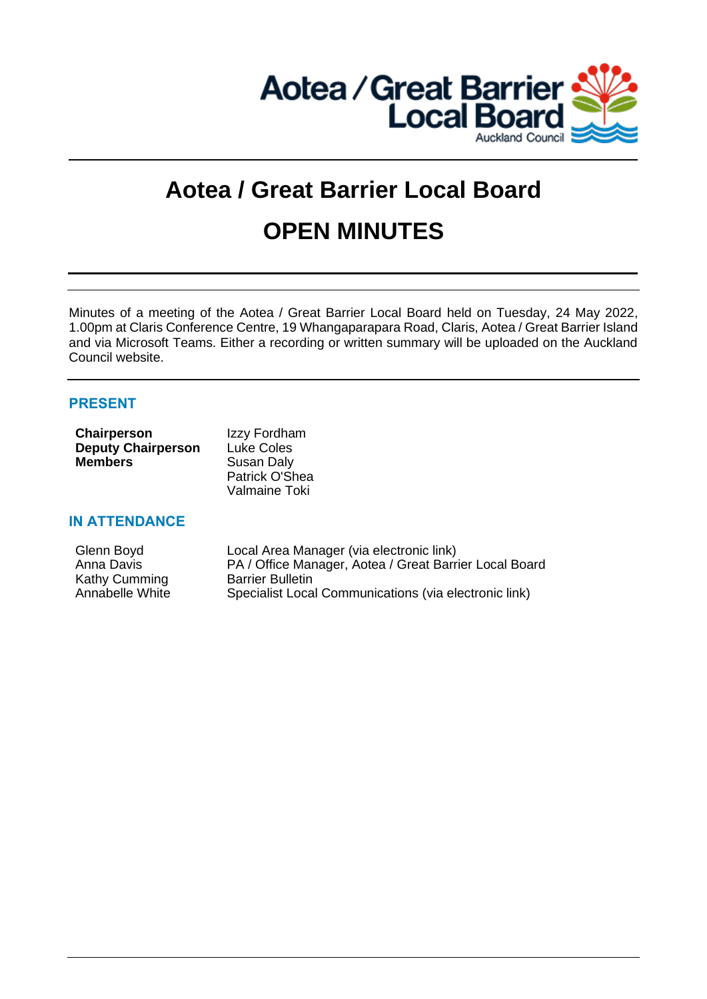

# **Aotea / Great Barrier Local Board OPEN MINUTES**

Minutes of a meeting of the Aotea / Great Barrier Local Board held on Tuesday, 24 May 2022, 1.00pm at Claris Conference Centre, 19 Whangaparapara Road, Claris, Aotea / Great Barrier Island and via Microsoft Teams. Either a recording or written summary will be uploaded on the Auckland Council website.

# **PRESENT**

| Chairperson               | Izzy Fordham   |
|---------------------------|----------------|
| <b>Deputy Chairperson</b> | Luke Coles     |
| <b>Members</b>            | Susan Daly     |
|                           | Patrick O'Shea |
|                           | Valmaine Toki  |

# **IN ATTENDANCE**

| Local Area Manager (via electronic link)               |
|--------------------------------------------------------|
| PA / Office Manager, Aotea / Great Barrier Local Board |
| <b>Barrier Bulletin</b>                                |
| Specialist Local Communications (via electronic link)  |
|                                                        |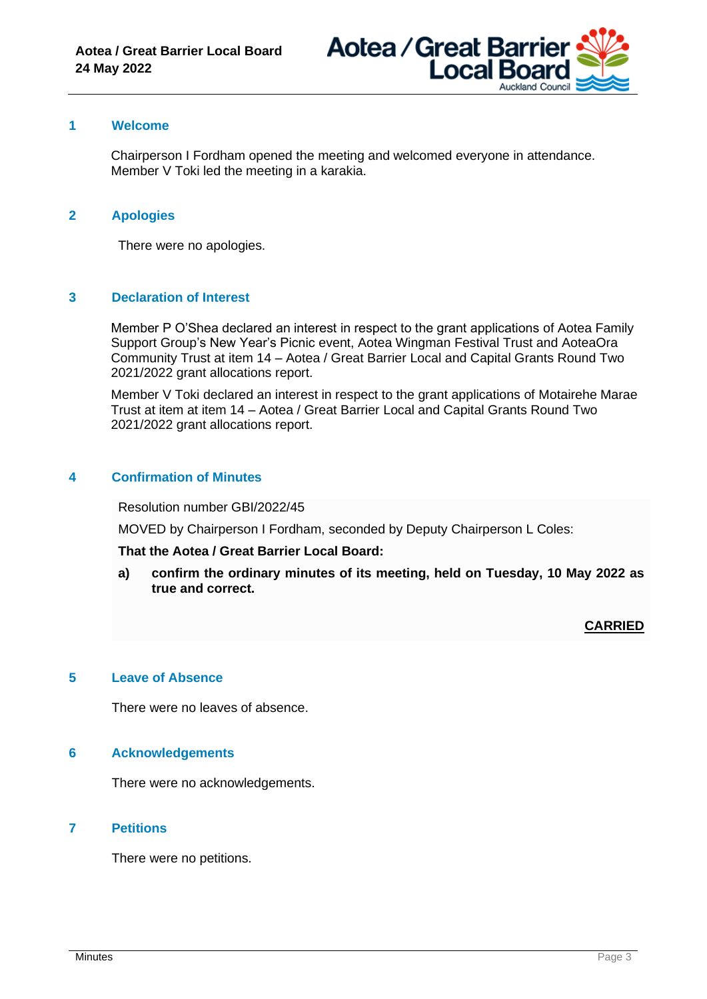

# **1 Welcome**

Chairperson I Fordham opened the meeting and welcomed everyone in attendance. Member V Toki led the meeting in a karakia.

## **2 Apologies**

There were no apologies.

## **3 Declaration of Interest**

Member P O'Shea declared an interest in respect to the grant applications of Aotea Family Support Group's New Year's Picnic event, Aotea Wingman Festival Trust and AoteaOra Community Trust at item 14 – Aotea / Great Barrier Local and Capital Grants Round Two 2021/2022 grant allocations report.

Member V Toki declared an interest in respect to the grant applications of Motairehe Marae Trust at item at item 14 – Aotea / Great Barrier Local and Capital Grants Round Two 2021/2022 grant allocations report.

## **4 Confirmation of Minutes**

Resolution number GBI/2022/45

MOVED by Chairperson I Fordham, seconded by Deputy Chairperson L Coles:

#### **That the Aotea / Great Barrier Local Board:**

**a) confirm the ordinary minutes of its meeting, held on Tuesday, 10 May 2022 as true and correct.**

**CARRIED**

#### **5 Leave of Absence**

There were no leaves of absence.

## **6 Acknowledgements**

There were no acknowledgements.

## **7 Petitions**

There were no petitions.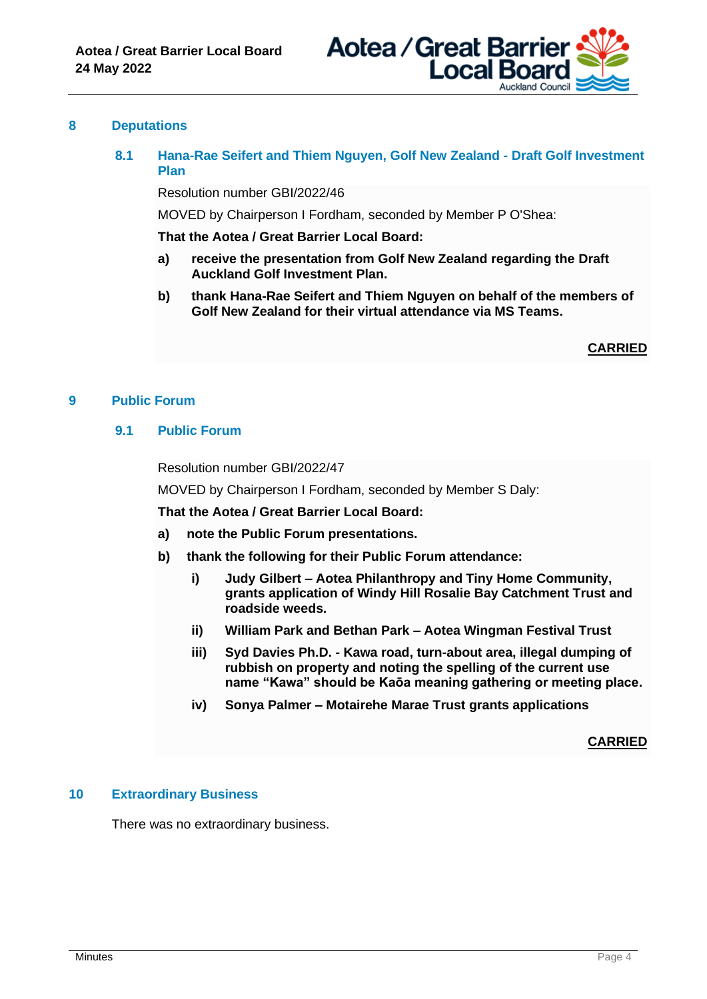

## **8 Deputations**

**8.1 Hana-Rae Seifert and Thiem Nguyen, Golf New Zealand - Draft Golf Investment Plan**

Resolution number GBI/2022/46

MOVED by Chairperson I Fordham, seconded by Member P O'Shea:

**That the Aotea / Great Barrier Local Board:**

- **a) receive the presentation from Golf New Zealand regarding the Draft Auckland Golf Investment Plan.**
- **b) thank Hana-Rae Seifert and Thiem Nguyen on behalf of the members of Golf New Zealand for their virtual attendance via MS Teams.**

**CARRIED**

#### **9 Public Forum**

## **9.1 Public Forum**

Resolution number GBI/2022/47

MOVED by Chairperson I Fordham, seconded by Member S Daly:

**That the Aotea / Great Barrier Local Board:**

- **a) note the Public Forum presentations.**
- **b) thank the following for their Public Forum attendance:**
	- **i) Judy Gilbert – Aotea Philanthropy and Tiny Home Community, grants application of Windy Hill Rosalie Bay Catchment Trust and roadside weeds.**
	- **ii) William Park and Bethan Park – Aotea Wingman Festival Trust**
	- **iii) Syd Davies Ph.D. - Kawa road, turn-about area, illegal dumping of rubbish on property and noting the spelling of the current use name "Kawa" should be Kaōa meaning gathering or meeting place.**
	- **iv) Sonya Palmer – Motairehe Marae Trust grants applications**

#### **CARRIED**

## **10 Extraordinary Business**

There was no extraordinary business.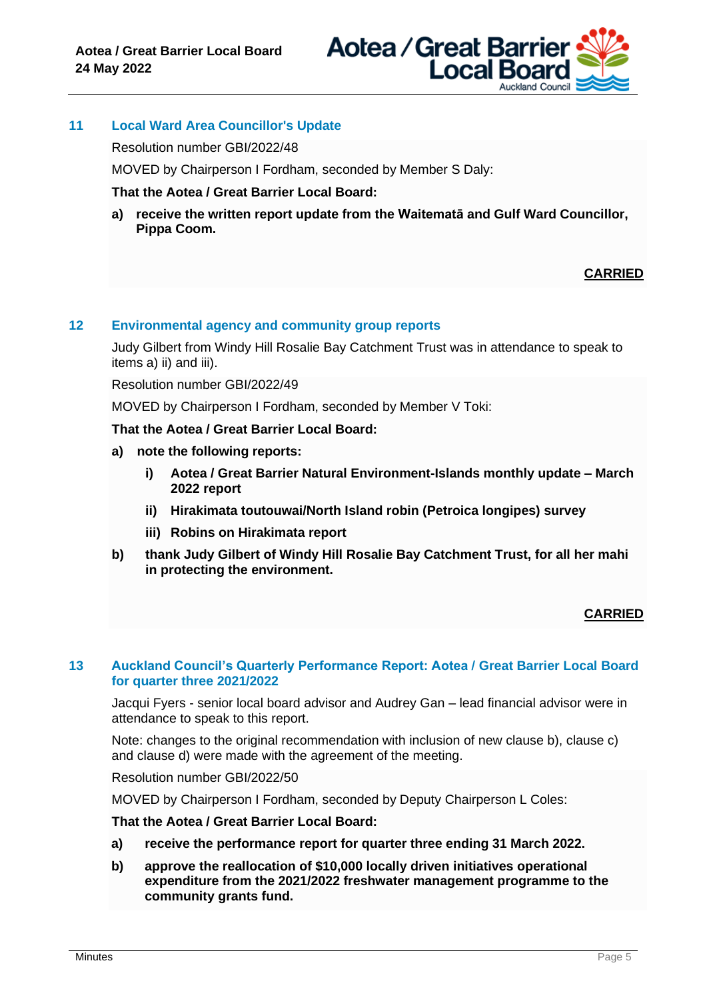

# **11 Local Ward Area Councillor's Update**

Resolution number GBI/2022/48

MOVED by Chairperson I Fordham, seconded by Member S Daly:

## **That the Aotea / Great Barrier Local Board:**

**a) receive the written report update from the Waitematā and Gulf Ward Councillor, Pippa Coom.**

# **CARRIED**

# **12 Environmental agency and community group reports**

Judy Gilbert from Windy Hill Rosalie Bay Catchment Trust was in attendance to speak to items a) ii) and iii).

Resolution number GBI/2022/49

MOVED by Chairperson I Fordham, seconded by Member V Toki:

**That the Aotea / Great Barrier Local Board:**

- **a) note the following reports:**
	- **i) Aotea / Great Barrier Natural Environment-Islands monthly update – March 2022 report**
	- **ii) Hirakimata toutouwai/North Island robin (Petroica longipes) survey**
	- **iii) Robins on Hirakimata report**
- **b) thank Judy Gilbert of Windy Hill Rosalie Bay Catchment Trust, for all her mahi in protecting the environment.**

# **CARRIED**

#### **13 Auckland Council's Quarterly Performance Report: Aotea / Great Barrier Local Board for quarter three 2021/2022**

Jacqui Fyers - senior local board advisor and Audrey Gan – lead financial advisor were in attendance to speak to this report.

Note: changes to the original recommendation with inclusion of new clause b), clause c) and clause d) were made with the agreement of the meeting.

Resolution number GBI/2022/50

MOVED by Chairperson I Fordham, seconded by Deputy Chairperson L Coles:

**That the Aotea / Great Barrier Local Board:**

- **a) receive the performance report for quarter three ending 31 March 2022.**
- **b) approve the reallocation of \$10,000 locally driven initiatives operational expenditure from the 2021/2022 freshwater management programme to the community grants fund.**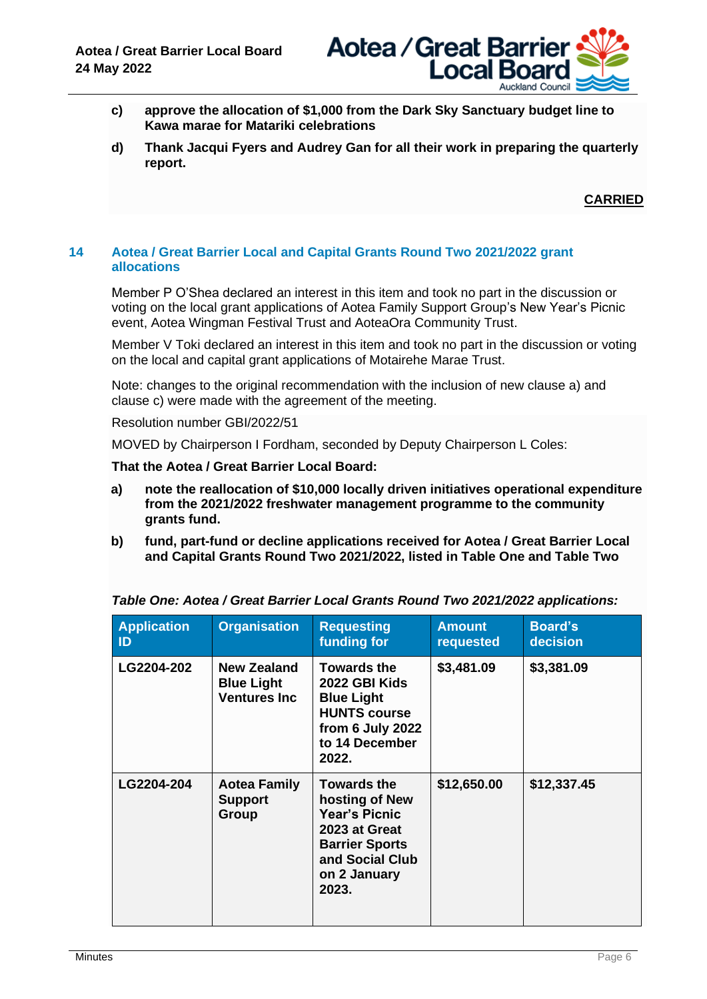

- **c) approve the allocation of \$1,000 from the Dark Sky Sanctuary budget line to Kawa marae for Matariki celebrations**
- **d) Thank Jacqui Fyers and Audrey Gan for all their work in preparing the quarterly report.**

**CARRIED**

## **14 Aotea / Great Barrier Local and Capital Grants Round Two 2021/2022 grant allocations**

Member P O'Shea declared an interest in this item and took no part in the discussion or voting on the local grant applications of Aotea Family Support Group's New Year's Picnic event, Aotea Wingman Festival Trust and AoteaOra Community Trust.

Member V Toki declared an interest in this item and took no part in the discussion or voting on the local and capital grant applications of Motairehe Marae Trust.

Note: changes to the original recommendation with the inclusion of new clause a) and clause c) were made with the agreement of the meeting.

Resolution number GBI/2022/51

MOVED by Chairperson I Fordham, seconded by Deputy Chairperson L Coles:

**That the Aotea / Great Barrier Local Board:**

- **a) note the reallocation of \$10,000 locally driven initiatives operational expenditure from the 2021/2022 freshwater management programme to the community grants fund.**
- **b) fund, part-fund or decline applications received for Aotea / Great Barrier Local and Capital Grants Round Two 2021/2022, listed in Table One and Table Two**

| <b>Application</b><br>$\mathsf{ID}$ | <b>Organisation</b>                                      | <b>Requesting</b><br>funding for                                                                                                                   | <b>Amount</b><br>requested | <b>Board's</b><br>decision |
|-------------------------------------|----------------------------------------------------------|----------------------------------------------------------------------------------------------------------------------------------------------------|----------------------------|----------------------------|
| LG2204-202                          | New Zealand<br><b>Blue Light</b><br><b>Ventures Inc.</b> | <b>Towards the</b><br>2022 GBI Kids<br><b>Blue Light</b><br><b>HUNTS course</b><br>from 6 July 2022<br>to 14 December<br>2022.                     | \$3,481.09                 | \$3,381.09                 |
| LG2204-204                          | <b>Aotea Family</b><br><b>Support</b><br>Group           | <b>Towards the</b><br>hosting of New<br><b>Year's Picnic</b><br>2023 at Great<br><b>Barrier Sports</b><br>and Social Club<br>on 2 January<br>2023. | \$12,650.00                | \$12,337.45                |

*Table One: Aotea / Great Barrier Local Grants Round Two 2021/2022 applications:*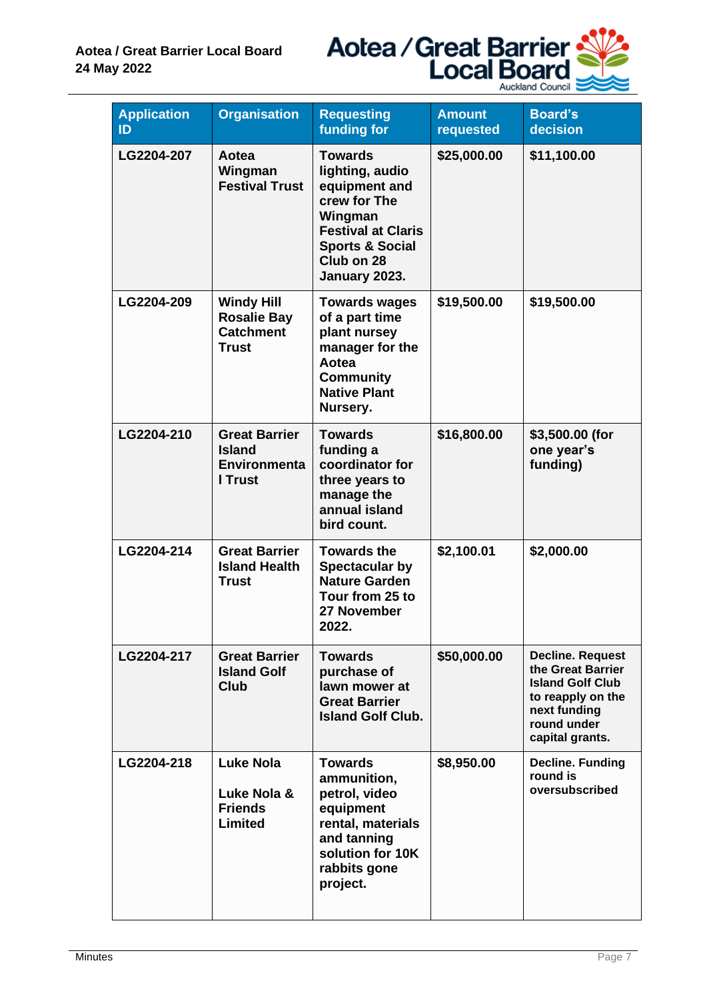

| <b>Application</b><br>ID | <b>Organisation</b>                                                         | <b>Requesting</b><br>funding for                                                                                                                                        | <b>Amount</b><br>requested | <b>Board's</b><br>decision                                                                                                                     |
|--------------------------|-----------------------------------------------------------------------------|-------------------------------------------------------------------------------------------------------------------------------------------------------------------------|----------------------------|------------------------------------------------------------------------------------------------------------------------------------------------|
| LG2204-207               | Aotea<br>Wingman<br><b>Festival Trust</b>                                   | <b>Towards</b><br>lighting, audio<br>equipment and<br>crew for The<br>Wingman<br><b>Festival at Claris</b><br><b>Sports &amp; Social</b><br>Club on 28<br>January 2023. | \$25,000.00                | \$11,100.00                                                                                                                                    |
| LG2204-209               | <b>Windy Hill</b><br><b>Rosalie Bay</b><br><b>Catchment</b><br><b>Trust</b> | <b>Towards wages</b><br>of a part time<br>plant nursey<br>manager for the<br>Aotea<br><b>Community</b><br><b>Native Plant</b><br>Nursery.                               | \$19,500.00                | \$19,500.00                                                                                                                                    |
| LG2204-210               | <b>Great Barrier</b><br><b>Island</b><br><b>Environmenta</b><br>I Trust     | <b>Towards</b><br>funding a<br>coordinator for<br>three years to<br>manage the<br>annual island<br>bird count.                                                          | \$16,800.00                | \$3,500.00 (for<br>one year's<br>funding)                                                                                                      |
| LG2204-214               | <b>Great Barrier</b><br><b>Island Health</b><br><b>Trust</b>                | <b>Towards the</b><br><b>Spectacular by</b><br><b>Nature Garden</b><br>Tour from 25 to<br>27 November<br>2022.                                                          | \$2,100.01                 | \$2,000.00                                                                                                                                     |
| LG2204-217               | <b>Great Barrier</b><br><b>Island Golf</b><br>Club                          | <b>Towards</b><br>purchase of<br>lawn mower at<br><b>Great Barrier</b><br><b>Island Golf Club.</b>                                                                      | \$50,000.00                | <b>Decline. Request</b><br>the Great Barrier<br><b>Island Golf Club</b><br>to reapply on the<br>next funding<br>round under<br>capital grants. |
| LG2204-218               | Luke Nola<br>Luke Nola &<br><b>Friends</b><br>Limited                       | <b>Towards</b><br>ammunition,<br>petrol, video<br>equipment<br>rental, materials<br>and tanning<br>solution for 10K<br>rabbits gone<br>project.                         | \$8,950.00                 | <b>Decline. Funding</b><br>round is<br>oversubscribed                                                                                          |

 $\overline{\phantom{a}}$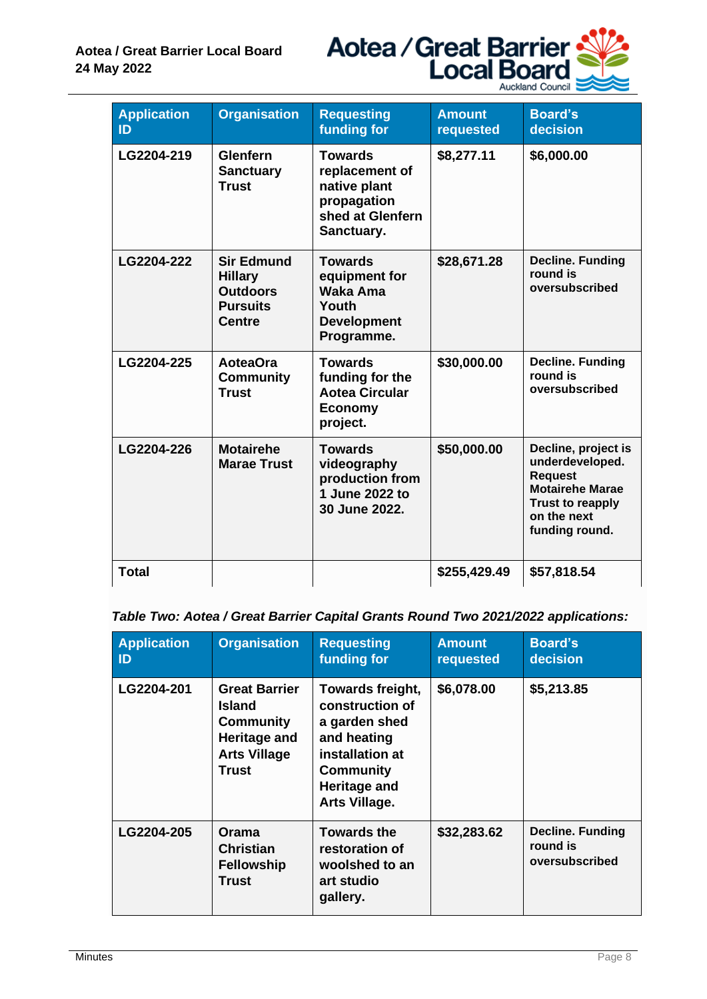

| <b>Application</b><br>ID | <b>Organisation</b>                                                                        | <b>Requesting</b><br>funding for                                                                  | <b>Amount</b><br>requested | <b>Board's</b><br>decision                                                                                                                     |
|--------------------------|--------------------------------------------------------------------------------------------|---------------------------------------------------------------------------------------------------|----------------------------|------------------------------------------------------------------------------------------------------------------------------------------------|
| LG2204-219               | Glenfern<br><b>Sanctuary</b><br><b>Trust</b>                                               | <b>Towards</b><br>replacement of<br>native plant<br>propagation<br>shed at Glenfern<br>Sanctuary. | \$8,277.11                 | \$6,000.00                                                                                                                                     |
| LG2204-222               | <b>Sir Edmund</b><br><b>Hillary</b><br><b>Outdoors</b><br><b>Pursuits</b><br><b>Centre</b> | <b>Towards</b><br>equipment for<br>Waka Ama<br>Youth<br><b>Development</b><br>Programme.          | \$28,671.28                | <b>Decline. Funding</b><br>round is<br>oversubscribed                                                                                          |
| LG2204-225               | <b>AoteaOra</b><br><b>Community</b><br><b>Trust</b>                                        | <b>Towards</b><br>funding for the<br><b>Aotea Circular</b><br><b>Economy</b><br>project.          | \$30,000.00                | <b>Decline. Funding</b><br>round is<br>oversubscribed                                                                                          |
| LG2204-226               | <b>Motairehe</b><br><b>Marae Trust</b>                                                     | <b>Towards</b><br>videography<br>production from<br>1 June 2022 to<br>30 June 2022.               | \$50,000.00                | Decline, project is<br>underdeveloped.<br><b>Request</b><br><b>Motairehe Marae</b><br><b>Trust to reapply</b><br>on the next<br>funding round. |
| <b>Total</b>             |                                                                                            |                                                                                                   | \$255,429.49               | \$57,818.54                                                                                                                                    |

# *Table Two: Aotea / Great Barrier Capital Grants Round Two 2021/2022 applications:*

| <b>Application</b><br>ID | <b>Organisation</b>                                                                                | <b>Requesting</b><br>funding for                                                                                                                   | <b>Amount</b><br>requested | <b>Board's</b><br>decision                            |
|--------------------------|----------------------------------------------------------------------------------------------------|----------------------------------------------------------------------------------------------------------------------------------------------------|----------------------------|-------------------------------------------------------|
| LG2204-201               | <b>Great Barrier</b><br>Island<br><b>Community</b><br>Heritage and<br><b>Arts Village</b><br>Trust | Towards freight,<br>construction of<br>a garden shed<br>and heating<br>installation at<br><b>Community</b><br><b>Heritage and</b><br>Arts Village. | \$6,078.00                 | \$5,213.85                                            |
| LG2204-205               | Orama<br><b>Christian</b><br><b>Fellowship</b><br>Trust                                            | <b>Towards the</b><br>restoration of<br>woolshed to an<br>art studio<br>gallery.                                                                   | \$32,283.62                | <b>Decline. Funding</b><br>round is<br>oversubscribed |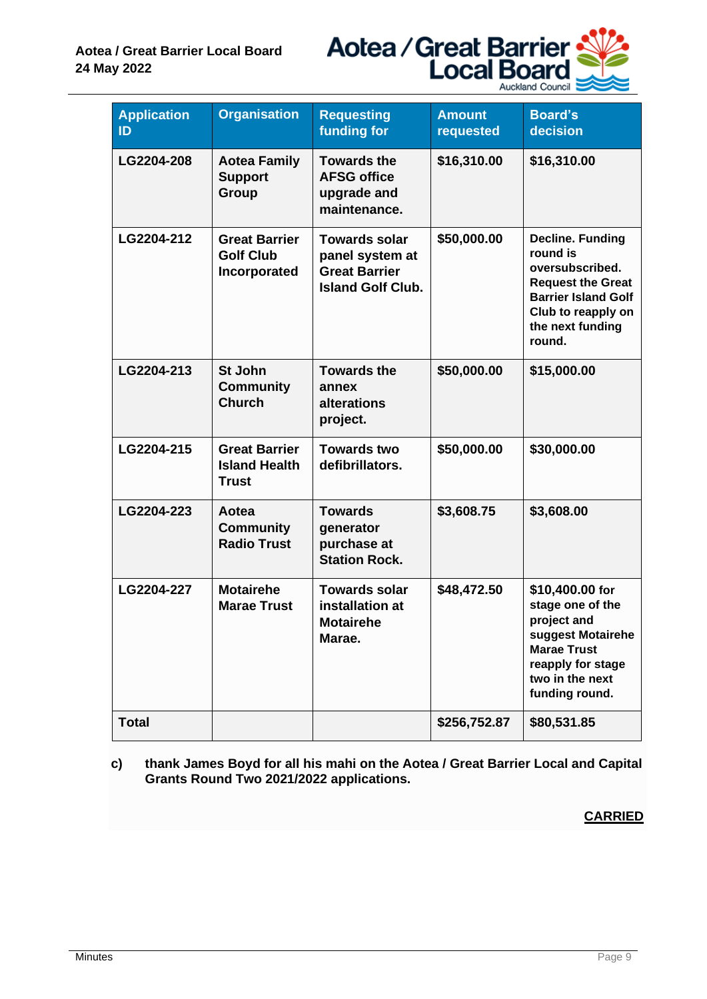

| <b>Application</b><br>ID | <b>Organisation</b>                                          | <b>Requesting</b><br><b>funding for</b>                                                     | <b>Amount</b><br>requested | <b>Board's</b><br>decision                                                                                                                                           |
|--------------------------|--------------------------------------------------------------|---------------------------------------------------------------------------------------------|----------------------------|----------------------------------------------------------------------------------------------------------------------------------------------------------------------|
| LG2204-208               | <b>Aotea Family</b><br><b>Support</b><br>Group               | <b>Towards the</b><br><b>AFSG office</b><br>upgrade and<br>maintenance.                     | \$16,310.00                | \$16,310.00                                                                                                                                                          |
| LG2204-212               | <b>Great Barrier</b><br><b>Golf Club</b><br>Incorporated     | <b>Towards solar</b><br>panel system at<br><b>Great Barrier</b><br><b>Island Golf Club.</b> | \$50,000.00                | <b>Decline. Funding</b><br>round is<br>oversubscribed.<br><b>Request the Great</b><br><b>Barrier Island Golf</b><br>Club to reapply on<br>the next funding<br>round. |
| LG2204-213               | St John<br><b>Community</b><br><b>Church</b>                 | <b>Towards the</b><br>annex<br>alterations<br>project.                                      | \$50,000.00                | \$15,000.00                                                                                                                                                          |
| LG2204-215               | <b>Great Barrier</b><br><b>Island Health</b><br><b>Trust</b> | <b>Towards two</b><br>defibrillators.                                                       | \$50,000.00                | \$30,000.00                                                                                                                                                          |
| LG2204-223               | Aotea<br><b>Community</b><br><b>Radio Trust</b>              | <b>Towards</b><br>generator<br>purchase at<br><b>Station Rock.</b>                          | \$3,608.75                 | \$3,608.00                                                                                                                                                           |
| LG2204-227               | <b>Motairehe</b><br><b>Marae Trust</b>                       | <b>Towards solar</b><br>installation at<br><b>Motairehe</b><br>Marae.                       | \$48,472.50                | \$10,400.00 for<br>stage one of the<br>project and<br>suggest Motairehe<br><b>Marae Trust</b><br>reapply for stage<br>two in the next<br>funding round.              |
| <b>Total</b>             |                                                              |                                                                                             | \$256,752.87               | \$80,531.85                                                                                                                                                          |

**c) thank James Boyd for all his mahi on the Aotea / Great Barrier Local and Capital Grants Round Two 2021/2022 applications.**

**CARRIED**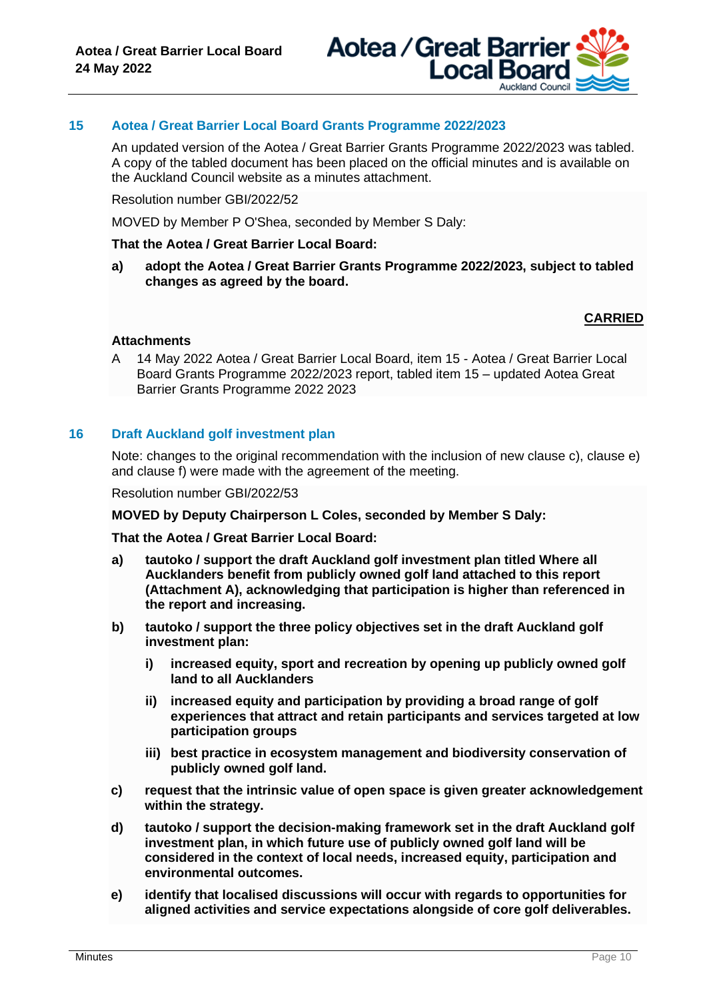

# **15 Aotea / Great Barrier Local Board Grants Programme 2022/2023**

An updated version of the Aotea / Great Barrier Grants Programme 2022/2023 was tabled. A copy of the tabled document has been placed on the official minutes and is available on the Auckland Council website as a minutes attachment.

Resolution number GBI/2022/52

MOVED by Member P O'Shea, seconded by Member S Daly:

#### **That the Aotea / Great Barrier Local Board:**

**a) adopt the Aotea / Great Barrier Grants Programme 2022/2023, subject to tabled changes as agreed by the board.**

# **CARRIED**

#### **Attachments**

A 14 May 2022 Aotea / Great Barrier Local Board, item 15 - Aotea / Great Barrier Local Board Grants Programme 2022/2023 report, tabled item 15 – updated Aotea Great Barrier Grants Programme 2022 2023

#### **16 Draft Auckland golf investment plan**

Note: changes to the original recommendation with the inclusion of new clause c), clause e) and clause f) were made with the agreement of the meeting.

Resolution number GBI/2022/53

#### **MOVED by Deputy Chairperson L Coles, seconded by Member S Daly:**

**That the Aotea / Great Barrier Local Board:**

- **a) tautoko / support the draft Auckland golf investment plan titled Where all Aucklanders benefit from publicly owned golf land attached to this report (Attachment A), acknowledging that participation is higher than referenced in the report and increasing.**
- **b) tautoko / support the three policy objectives set in the draft Auckland golf investment plan:**
	- **i) increased equity, sport and recreation by opening up publicly owned golf land to all Aucklanders**
	- **ii) increased equity and participation by providing a broad range of golf experiences that attract and retain participants and services targeted at low participation groups**
	- **iii) best practice in ecosystem management and biodiversity conservation of publicly owned golf land.**
- **c) request that the intrinsic value of open space is given greater acknowledgement within the strategy.**
- **d) tautoko / support the decision-making framework set in the draft Auckland golf investment plan, in which future use of publicly owned golf land will be considered in the context of local needs, increased equity, participation and environmental outcomes.**
- **e) identify that localised discussions will occur with regards to opportunities for aligned activities and service expectations alongside of core golf deliverables.**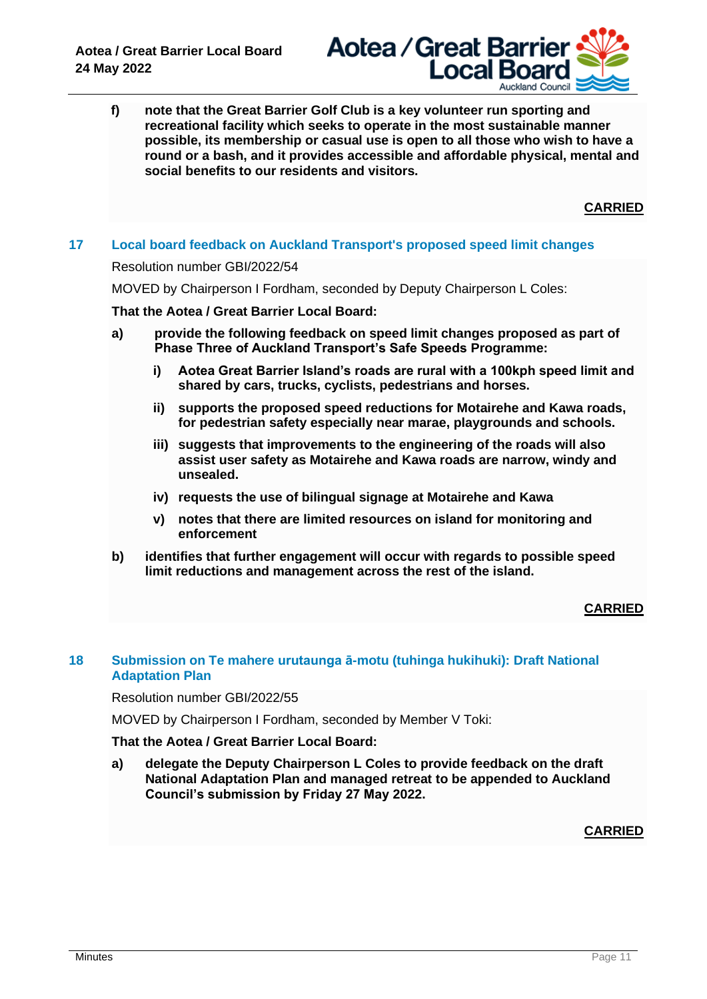

**f) note that the Great Barrier Golf Club is a key volunteer run sporting and recreational facility which seeks to operate in the most sustainable manner possible, its membership or casual use is open to all those who wish to have a round or a bash, and it provides accessible and affordable physical, mental and social benefits to our residents and visitors.**

**CARRIED**

# **17 Local board feedback on Auckland Transport's proposed speed limit changes**

#### Resolution number GBI/2022/54

MOVED by Chairperson I Fordham, seconded by Deputy Chairperson L Coles:

## **That the Aotea / Great Barrier Local Board:**

- **a) provide the following feedback on speed limit changes proposed as part of Phase Three of Auckland Transport's Safe Speeds Programme:**
	- **i) Aotea Great Barrier Island's roads are rural with a 100kph speed limit and shared by cars, trucks, cyclists, pedestrians and horses.**
	- **ii) supports the proposed speed reductions for Motairehe and Kawa roads, for pedestrian safety especially near marae, playgrounds and schools.**
	- **iii) suggests that improvements to the engineering of the roads will also assist user safety as Motairehe and Kawa roads are narrow, windy and unsealed.**
	- **iv) requests the use of bilingual signage at Motairehe and Kawa**
	- **v) notes that there are limited resources on island for monitoring and enforcement**
- **b) identifies that further engagement will occur with regards to possible speed limit reductions and management across the rest of the island.**

# **CARRIED**

# **18 Submission on Te mahere urutaunga ā-motu (tuhinga hukihuki): Draft National Adaptation Plan**

Resolution number GBI/2022/55

MOVED by Chairperson I Fordham, seconded by Member V Toki:

# **That the Aotea / Great Barrier Local Board:**

**a) delegate the Deputy Chairperson L Coles to provide feedback on the draft National Adaptation Plan and managed retreat to be appended to Auckland Council's submission by Friday 27 May 2022.**

**CARRIED**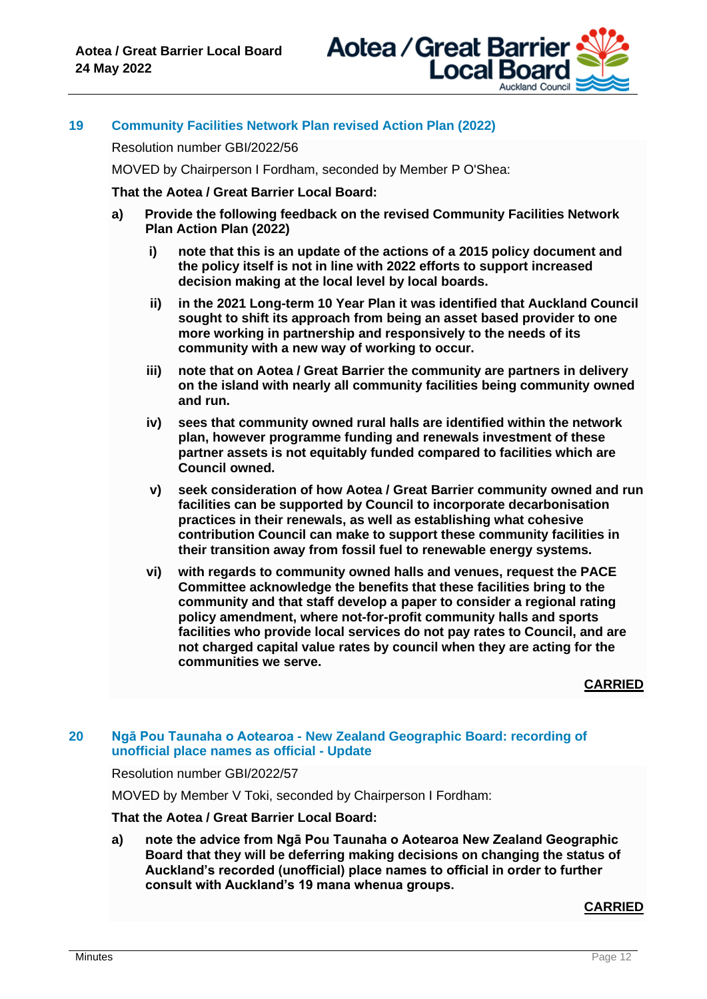

# **19 Community Facilities Network Plan revised Action Plan (2022)**

Resolution number GBI/2022/56

MOVED by Chairperson I Fordham, seconded by Member P O'Shea:

**That the Aotea / Great Barrier Local Board:**

- **a) Provide the following feedback on the revised Community Facilities Network Plan Action Plan (2022)**
	- **i) note that this is an update of the actions of a 2015 policy document and the policy itself is not in line with 2022 efforts to support increased decision making at the local level by local boards.**
	- **ii) in the 2021 Long-term 10 Year Plan it was identified that Auckland Council sought to shift its approach from being an asset based provider to one more working in partnership and responsively to the needs of its community with a new way of working to occur.**
	- **iii) note that on Aotea / Great Barrier the community are partners in delivery on the island with nearly all community facilities being community owned and run.**
	- **iv) sees that community owned rural halls are identified within the network plan, however programme funding and renewals investment of these partner assets is not equitably funded compared to facilities which are Council owned.**
	- **v) seek consideration of how Aotea / Great Barrier community owned and run facilities can be supported by Council to incorporate decarbonisation practices in their renewals, as well as establishing what cohesive contribution Council can make to support these community facilities in their transition away from fossil fuel to renewable energy systems.**
	- **vi) with regards to community owned halls and venues, request the PACE Committee acknowledge the benefits that these facilities bring to the community and that staff develop a paper to consider a regional rating policy amendment, where not-for-profit community halls and sports facilities who provide local services do not pay rates to Council, and are not charged capital value rates by council when they are acting for the communities we serve.**

**CARRIED**

## **20 Ngā Pou Taunaha o Aotearoa - New Zealand Geographic Board: recording of unofficial place names as official - Update**

Resolution number GBI/2022/57

MOVED by Member V Toki, seconded by Chairperson I Fordham:

**That the Aotea / Great Barrier Local Board:**

**a) note the advice from Ngā Pou Taunaha o Aotearoa New Zealand Geographic Board that they will be deferring making decisions on changing the status of Auckland's recorded (unofficial) place names to official in order to further consult with Auckland's 19 mana whenua groups.**

# **CARRIED**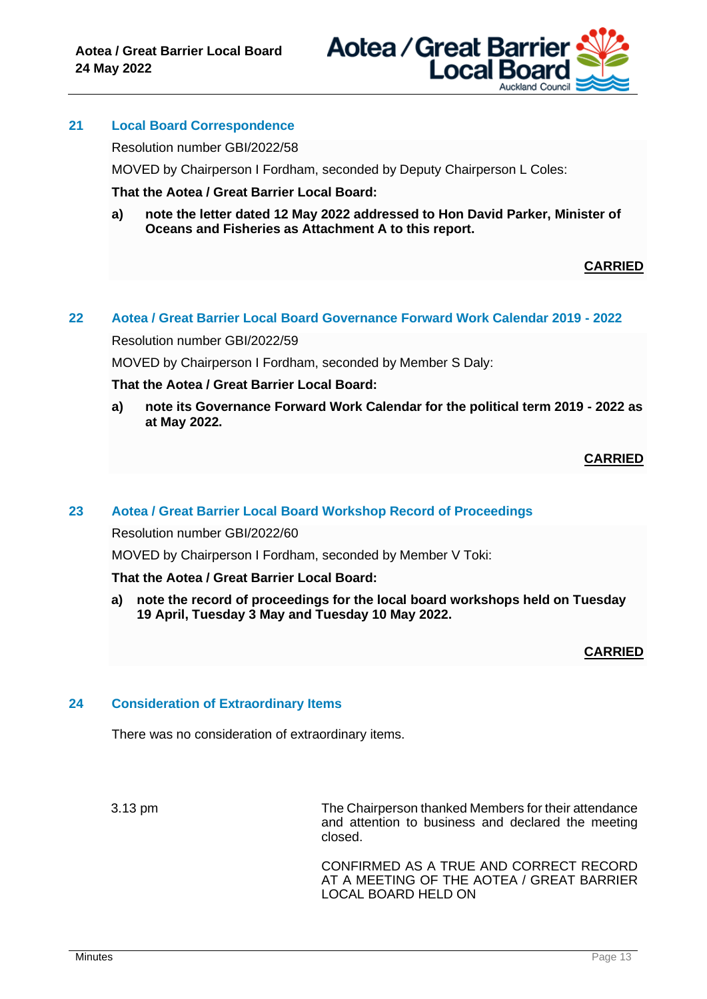

# **21 Local Board Correspondence**

Resolution number GBI/2022/58

MOVED by Chairperson I Fordham, seconded by Deputy Chairperson L Coles:

**That the Aotea / Great Barrier Local Board:**

**a) note the letter dated 12 May 2022 addressed to Hon David Parker, Minister of Oceans and Fisheries as Attachment A to this report.**

#### **CARRIED**

## **22 Aotea / Great Barrier Local Board Governance Forward Work Calendar 2019 - 2022**

Resolution number GBI/2022/59

MOVED by Chairperson I Fordham, seconded by Member S Daly:

#### **That the Aotea / Great Barrier Local Board:**

**a) note its Governance Forward Work Calendar for the political term 2019 - 2022 as at May 2022.**

**CARRIED**

#### **23 Aotea / Great Barrier Local Board Workshop Record of Proceedings**

Resolution number GBI/2022/60

MOVED by Chairperson I Fordham, seconded by Member V Toki:

## **That the Aotea / Great Barrier Local Board:**

**a) note the record of proceedings for the local board workshops held on Tuesday 19 April, Tuesday 3 May and Tuesday 10 May 2022.**

#### **CARRIED**

#### **24 Consideration of Extraordinary Items**

There was no consideration of extraordinary items.

3.13 pm The Chairperson thanked Members for their attendance and attention to business and declared the meeting closed.

> CONFIRMED AS A TRUE AND CORRECT RECORD AT A MEETING OF THE AOTEA / GREAT BARRIER LOCAL BOARD HELD ON